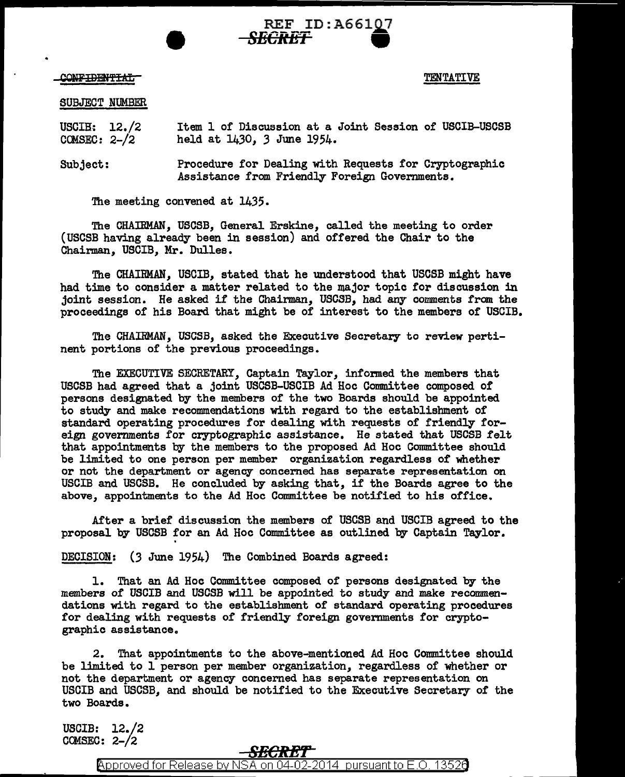\_CONF<del>IDENTIAL</del>

TENTATIVE

## SUBJECT NUMBER

USCIB: 12./2  $COMSEC: 2-/2$ Item 1 of Discussion at a Joint Session of USCIB-USCSB held at 1430, *3* June 1954.

*SECRET* •

REF ID: A66107

Subject: Procedure for Dealing with Requests for Cryptographic Assistance from Friendly Foreign Governments.

The meeting convened at 1435.

The CHAIRMAN, USCSB, General Erskine, called the meeting to order (USCSB having already been in session) and offered the Chair to the Chairman, USCIB, Mr. Dulles.

The CHAIRMAN, USCIB, stated that he understood that USCSB might have had time to consider a matter related to the major topic for discussion in joint session. He asked if the Chairman, USCSB, had any comments from the proceedings of his Board that might be of interest to the members of USCIB.

The CHAIRMAN, USCSB, asked the Executive Secretary to review pertinent portions of the previous proceedings.

The EXECUTIVE SECRETARY, Captain Taylor, informed the members that USCSB had agreed that a joint USCSB-USCIB Ad Hoc Committee composed of persons designated by the members of the two Boards should be appointed to study and make recommendations with regard to the establishment of standard operating procedures for dealing with requests of friendly foreign governments for cryptographic assistance. He stated that USCSB felt that appointments by the members to the proposed Ad Hoc Committee should be limited to one person per member organization regardless of whether or not the department or agency concerned has separate representation on USCIB and USCSB. He concluded by asking that, if the Boards agree to the above, appointments to the Ad Hoc Committee be notified to his office.

After a brief discussion the members of USC.SB and USCIB agreed to the proposal by USCSB for an Ad Hoc Committee as outlined by Captain Taylor.

DECISION: (3 June 1954) The Combined Boards agreed:

1. That an Ad Hoc Committee composed of persons designated by the members of USCIB and USCSB will be appointed to study and make recommendations with regard to the establishment of standard operating procedures for dealing with requests of friendly foreign governments for cryptographic assistance.

2. That appointments to the above-mentioned Ad Hoc Committee should be limited to l person per member organization, regardless of whether or not the department or agency concerned has separate representation on USCIB and USCSB, and should be notified to the Executive Secretary of the two Boards.

USCIB: 12./2 COMSEC:  $2-\frac{2}{2}$ 

## **SBCREr-**

@'pproved for Release by NSA on 04-02-2014 pursuantto E.O. 1352a